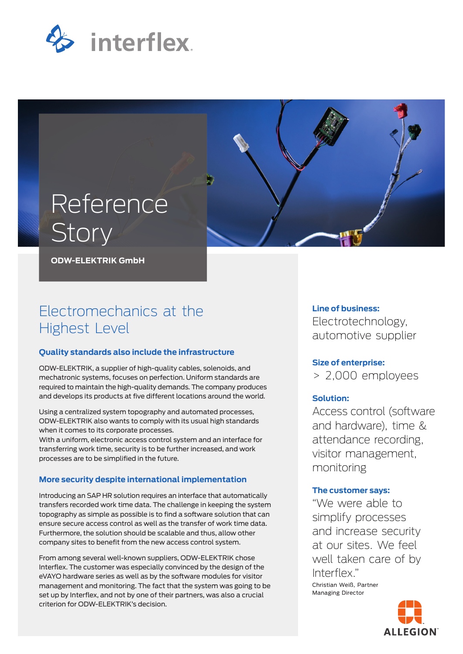



**ODW-ELEKTRIK GmbH**

# Electromechanics at the Highest Level

## **Quality standards also include the infrastructure**

ODW-ELEKTRIK, a supplier of high-quality cables, solenoids, and mechatronic systems, focuses on perfection. Uniform standards are required to maintain the high-quality demands. The company produces and develops its products at five different locations around the world.

Using a centralized system topography and automated processes, ODW-ELEKTRIK also wants to comply with its usual high standards when it comes to its corporate processes.

With a uniform, electronic access control system and an interface for transferring work time, security is to be further increased, and work processes are to be simplified in the future.

## **More security despite international implementation**

Introducing an SAP HR solution requires an interface that automatically transfers recorded work time data. The challenge in keeping the system topography as simple as possible is to find a software solution that can ensure secure access control as well as the transfer of work time data. Furthermore, the solution should be scalable and thus, allow other company sites to benefit from the new access control system.

From among several well-known suppliers, ODW-ELEKTRIK chose Interflex. The customer was especially convinced by the design of the eVAYO hardware series as well as by the software modules for visitor management and monitoring. The fact that the system was going to be set up by Interflex, and not by one of their partners, was also a crucial criterion for ODW-ELEKTRIK's decision.

# **Line of business:**

Electrotechnology, automotive supplier

# **Size of enterprise:**

> 2,000 employees

## **Solution:**

Access control (software and hardware), time & attendance recording, visitor management, monitoring

# **The customer says:**

"We were able to simplify processes and increase security at our sites. We feel well taken care of by Interflex." Christian Weiß, Partner Managing Director